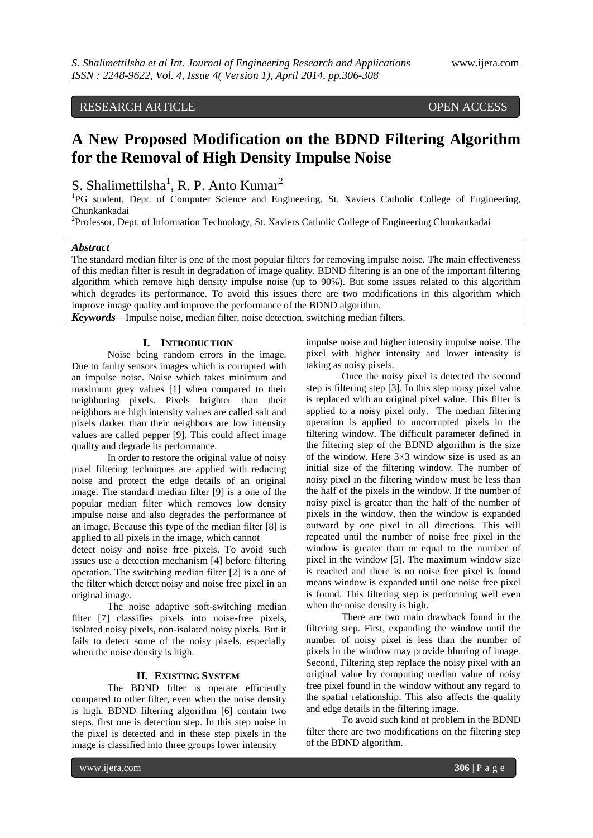## RESEARCH ARTICLE OPEN ACCESS

# **A New Proposed Modification on the BDND Filtering Algorithm for the Removal of High Density Impulse Noise**

S. Shalimettilsha<sup>1</sup>, R. P. Anto Kumar<sup>2</sup>

<sup>1</sup>PG student, Dept. of Computer Science and Engineering, St. Xaviers Catholic College of Engineering, Chunkankadai

<sup>2</sup>Professor, Dept. of Information Technology, St. Xaviers Catholic College of Engineering Chunkankadai

#### *Abstract*

The standard median filter is one of the most popular filters for removing impulse noise. The main effectiveness of this median filter is result in degradation of image quality. BDND filtering is an one of the important filtering algorithm which remove high density impulse noise (up to 90%). But some issues related to this algorithm which degrades its performance. To avoid this issues there are two modifications in this algorithm which improve image quality and improve the performance of the BDND algorithm.

*Keywords*—Impulse noise, median filter, noise detection, switching median filters.

#### **I. INTRODUCTION**

Noise being random errors in the image. Due to faulty sensors images which is corrupted with an impulse noise. Noise which takes minimum and maximum grey values [1] when compared to their neighboring pixels. Pixels brighter than their neighbors are high intensity values are called salt and pixels darker than their neighbors are low intensity values are called pepper [9]. This could affect image quality and degrade its performance.

In order to restore the original value of noisy pixel filtering techniques are applied with reducing noise and protect the edge details of an original image. The standard median filter [9] is a one of the popular median filter which removes low density impulse noise and also degrades the performance of an image. Because this type of the median filter [8] is applied to all pixels in the image, which cannot

detect noisy and noise free pixels. To avoid such issues use a detection mechanism [4] before filtering operation. The switching median filter [2] is a one of the filter which detect noisy and noise free pixel in an original image.

The noise adaptive soft-switching median filter [7] classifies pixels into noise-free pixels, isolated noisy pixels, non-isolated noisy pixels. But it fails to detect some of the noisy pixels, especially when the noise density is high.

#### **II. EXISTING SYSTEM**

The BDND filter is operate efficiently compared to other filter, even when the noise density is high. BDND filtering algorithm [6] contain two steps, first one is detection step. In this step noise in the pixel is detected and in these step pixels in the image is classified into three groups lower intensity

impulse noise and higher intensity impulse noise. The pixel with higher intensity and lower intensity is taking as noisy pixels.

Once the noisy pixel is detected the second step is filtering step [3]. In this step noisy pixel value is replaced with an original pixel value. This filter is applied to a noisy pixel only. The median filtering operation is applied to uncorrupted pixels in the filtering window. The difficult parameter defined in the filtering step of the BDND algorithm is the size of the window. Here 3×3 window size is used as an initial size of the filtering window. The number of noisy pixel in the filtering window must be less than the half of the pixels in the window. If the number of noisy pixel is greater than the half of the number of pixels in the window, then the window is expanded outward by one pixel in all directions. This will repeated until the number of noise free pixel in the window is greater than or equal to the number of pixel in the window [5]. The maximum window size is reached and there is no noise free pixel is found means window is expanded until one noise free pixel is found. This filtering step is performing well even when the noise density is high.

There are two main drawback found in the filtering step. First, expanding the window until the number of noisy pixel is less than the number of pixels in the window may provide blurring of image. Second, Filtering step replace the noisy pixel with an original value by computing median value of noisy free pixel found in the window without any regard to the spatial relationship. This also affects the quality and edge details in the filtering image.

To avoid such kind of problem in the BDND filter there are two modifications on the filtering step of the BDND algorithm.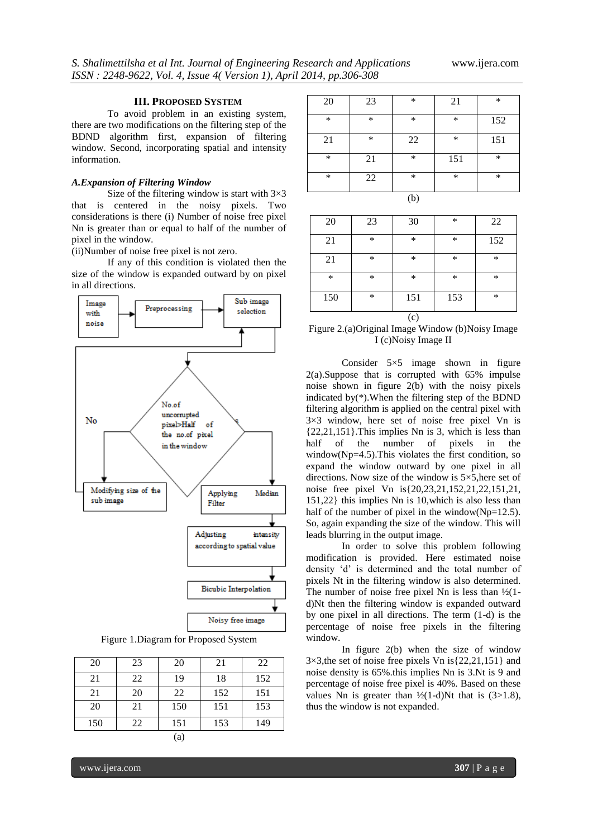#### **III. PROPOSED SYSTEM**

To avoid problem in an existing system, there are two modifications on the filtering step of the BDND algorithm first, expansion of filtering window. Second, incorporating spatial and intensity information.

#### *A.Expansion of Filtering Window*

Size of the filtering window is start with  $3\times3$ that is centered in the noisy pixels. Two considerations is there (i) Number of noise free pixel Nn is greater than or equal to half of the number of pixel in the window.

(ii)Number of noise free pixel is not zero.

If any of this condition is violated then the size of the window is expanded outward by on pixel in all directions.



Figure 1.Diagram for Proposed System

| 20  | 23 | 20  | 21  | 22  |
|-----|----|-----|-----|-----|
| 21  | 22 | 19  | 18  | 152 |
| 21  | 20 | 22  | 152 | 151 |
| 20  | 21 | 150 | 151 | 153 |
| 150 | 22 | 151 | 153 | 149 |
| a   |    |     |     |     |

| 20     | 23     | $\ast$ | 21     | $\ast$ |
|--------|--------|--------|--------|--------|
| $\ast$ | *      | *      | $\ast$ | 152    |
| 21     | $\ast$ | 22     | $\ast$ | 151    |
| $\ast$ | 21     | $\ast$ | 151    | $\ast$ |
| $\ast$ | 22     | $\ast$ | $\ast$ | $\ast$ |
|        |        |        |        |        |

| 20     | 23 | 30  | $\ast$ | 22     |
|--------|----|-----|--------|--------|
| 21     | *  | *   | ∗      | 152    |
| 21     | *  | *   | $\ast$ | *      |
| $\ast$ | *  | *   | $\ast$ | *      |
| 150    | *  | 151 | 153    | $\ast$ |
|        |    | (c) |        |        |

Figure 2.(a)Original Image Window (b)Noisy Image I (c)Noisy Image II

Consider 5×5 image shown in figure 2(a).Suppose that is corrupted with 65% impulse noise shown in figure 2(b) with the noisy pixels indicated by(\*).When the filtering step of the BDND filtering algorithm is applied on the central pixel with 3×3 window, here set of noise free pixel Vn is  ${22,21,151}$ . This implies Nn is 3, which is less than half of the number of pixels in the window( $Np=4.5$ ). This violates the first condition, so expand the window outward by one pixel in all directions. Now size of the window is 5×5,here set of noise free pixel Vn is{20,23,21,152,21,22,151,21, 151,22} this implies Nn is 10,which is also less than half of the number of pixel in the window( $Np=12.5$ ). So, again expanding the size of the window. This will leads blurring in the output image.

In order to solve this problem following modification is provided. Here estimated noise density 'd' is determined and the total number of pixels Nt in the filtering window is also determined. The number of noise free pixel Nn is less than  $\frac{1}{2}$ (1d)Nt then the filtering window is expanded outward by one pixel in all directions. The term (1-d) is the percentage of noise free pixels in the filtering window.

In figure 2(b) when the size of window 3×3,the set of noise free pixels Vn is{22,21,151} and noise density is 65%.this implies Nn is 3.Nt is 9 and percentage of noise free pixel is 40%. Based on these values Nn is greater than  $\frac{1}{2}(1-d)$ Nt that is (3>1.8), thus the window is not expanded.